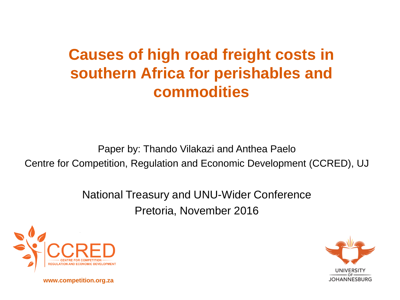### **Causes of high road freight costs in southern Africa for perishables and commodities**

Paper by: Thando Vilakazi and Anthea Paelo Centre for Competition, Regulation and Economic Development (CCRED), UJ

> National Treasury and UNU-Wider Conference Pretoria, November 2016





**www.competition.org.za**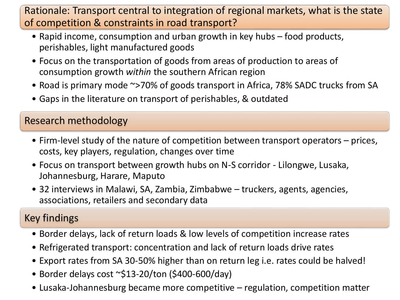Rationale: Transport central to integration of regional markets, what is the state of competition & constraints in road transport?

- Rapid income, consumption and urban growth in key hubs food products, perishables, light manufactured goods
- Focus on the transportation of goods from areas of production to areas of consumption growth *within* the southern African region
- Road is primary mode ~>70% of goods transport in Africa, 78% SADC trucks from SA
- Gaps in the literature on transport of perishables, & outdated

#### Research methodology

- Firm-level study of the nature of competition between transport operators prices, costs, key players, regulation, changes over time
- Focus on transport between growth hubs on N-S corridor Lilongwe, Lusaka, Johannesburg, Harare, Maputo
- 32 interviews in Malawi, SA, Zambia, Zimbabwe truckers, agents, agencies, associations, retailers and secondary data

#### Key findings

- Border delays, lack of return loads & low levels of competition increase rates
- Refrigerated transport: concentration and lack of return loads drive rates
- Export rates from SA 30-50% higher than on return leg i.e. rates could be halved!
- Border delays cost  $\sim$ \$13-20/ton (\$400-600/day)
- Lusaka-Johannesburg became more competitive regulation, competition matter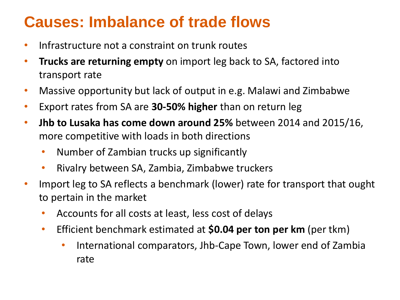#### **Causes: Imbalance of trade flows**

- Infrastructure not a constraint on trunk routes
- **Trucks are returning empty** on import leg back to SA, factored into transport rate
- Massive opportunity but lack of output in e.g. Malawi and Zimbabwe
- Export rates from SA are **30-50% higher** than on return leg
- **Jhb to Lusaka has come down around 25%** between 2014 and 2015/16, more competitive with loads in both directions
	- Number of Zambian trucks up significantly
	- Rivalry between SA, Zambia, Zimbabwe truckers
- Import leg to SA reflects a benchmark (lower) rate for transport that ought to pertain in the market
	- Accounts for all costs at least, less cost of delays
	- Efficient benchmark estimated at **\$0.04 per ton per km** (per tkm)
		- International comparators, Jhb-Cape Town, lower end of Zambia rate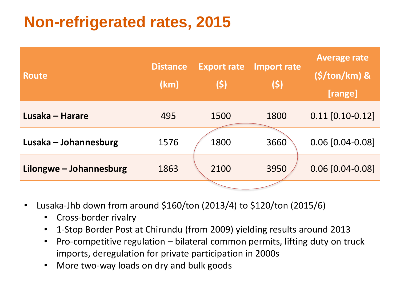## **Non-refrigerated rates, 2015**

| <b>Route</b>            | <b>Distance</b><br>(km) | <b>Export rate</b><br><b>(S)</b> | Import rate<br>(\$) | <b>Average rate</b><br>$(S/ton/km)$ &<br>[range] |
|-------------------------|-------------------------|----------------------------------|---------------------|--------------------------------------------------|
| Lusaka – Harare         | 495                     | 1500                             | 1800                | $0.11$ [0.10-0.12]                               |
| Lusaka – Johannesburg   | 1576                    | 1800                             | 3660                | $0.06$ [0.04-0.08]                               |
| Lilongwe – Johannesburg | 1863                    | 2100                             | 3950                | $0.06$ [0.04-0.08]                               |
|                         |                         |                                  |                     |                                                  |

- Lusaka-Jhb down from around \$160/ton (2013/4) to \$120/ton (2015/6)
	- Cross-border rivalry
	- 1-Stop Border Post at Chirundu (from 2009) yielding results around 2013
	- Pro-competitive regulation bilateral common permits, lifting duty on truck imports, deregulation for private participation in 2000s
	- More two-way loads on dry and bulk goods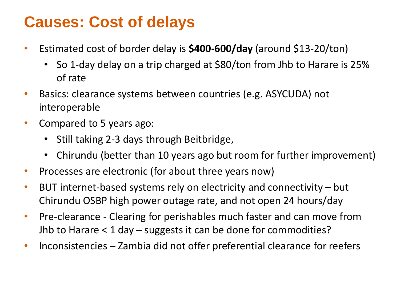#### **Causes: Cost of delays**

- Estimated cost of border delay is **\$400-600/day** (around \$13-20/ton)
	- So 1-day delay on a trip charged at \$80/ton from Jhb to Harare is 25% of rate
- Basics: clearance systems between countries (e.g. ASYCUDA) not interoperable
- Compared to 5 years ago:
	- Still taking 2-3 days through Beitbridge,
	- Chirundu (better than 10 years ago but room for further improvement)
- Processes are electronic (for about three years now)
- BUT internet-based systems rely on electricity and connectivity but Chirundu OSBP high power outage rate, and not open 24 hours/day
- Pre-clearance Clearing for perishables much faster and can move from Jhb to Harare < 1 day – suggests it can be done for commodities?
- Inconsistencies Zambia did not offer preferential clearance for reefers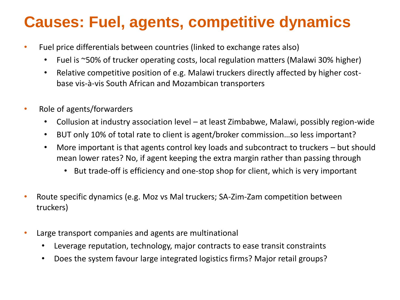#### **Causes: Fuel, agents, competitive dynamics**

- Fuel price differentials between countries (linked to exchange rates also)
	- Fuel is ~50% of trucker operating costs, local regulation matters (Malawi 30% higher)
	- Relative competitive position of e.g. Malawi truckers directly affected by higher costbase vis-à-vis South African and Mozambican transporters
- Role of agents/forwarders
	- Collusion at industry association level at least Zimbabwe, Malawi, possibly region-wide
	- BUT only 10% of total rate to client is agent/broker commission…so less important?
	- More important is that agents control key loads and subcontract to truckers but should mean lower rates? No, if agent keeping the extra margin rather than passing through
		- But trade-off is efficiency and one-stop shop for client, which is very important
- Route specific dynamics (e.g. Moz vs Mal truckers; SA-Zim-Zam competition between truckers)
- Large transport companies and agents are multinational
	- Leverage reputation, technology, major contracts to ease transit constraints
	- Does the system favour large integrated logistics firms? Major retail groups?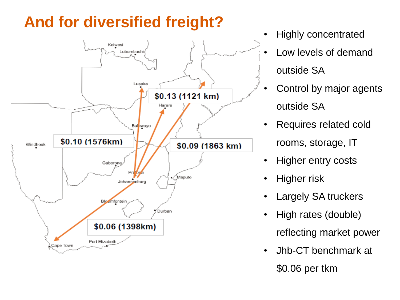# **And for diversified freight?**



- Highly concentrated
- Low levels of demand outside SA
- Control by major agents outside SA
- Requires related cold rooms, storage, IT
- Higher entry costs
- Higher risk
- Largely SA truckers
- High rates (double)
	- reflecting market power
- Jhb-CT benchmark at \$0.06 per tkm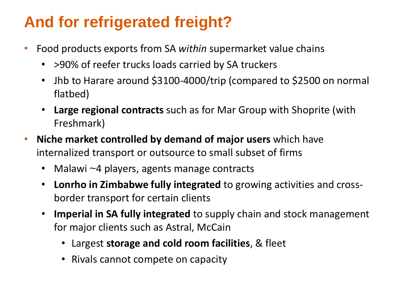## **And for refrigerated freight?**

- Food products exports from SA *within* supermarket value chains
	- > 90% of reefer trucks loads carried by SA truckers
	- Jhb to Harare around \$3100-4000/trip (compared to \$2500 on normal flatbed)
	- **Large regional contracts** such as for Mar Group with Shoprite (with Freshmark)
- **Niche market controlled by demand of major users** which have internalized transport or outsource to small subset of firms
	- Malawi ~4 players, agents manage contracts
	- **Lonrho in Zimbabwe fully integrated** to growing activities and crossborder transport for certain clients
	- **Imperial in SA fully integrated** to supply chain and stock management for major clients such as Astral, McCain
		- Largest **storage and cold room facilities**, & fleet
		- Rivals cannot compete on capacity